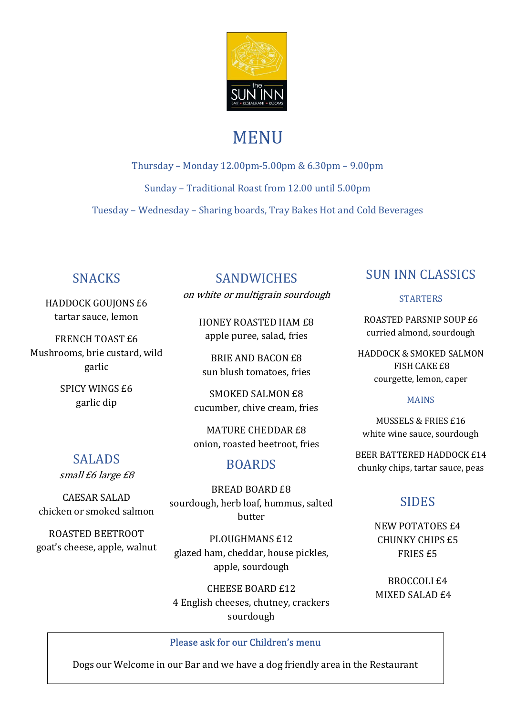

## **MENU**

Thursday – Monday 12.00pm-5.00pm & 6.30pm – 9.00pm

Sunday – Traditional Roast from 12.00 until 5.00pm

Tuesday – Wednesday – Sharing boards, Tray Bakes Hot and Cold Beverages

### SNACKS

HADDOCK GOUJONS £6 tartar sauce, lemon

FRENCH TOAST £6 Mushrooms, brie custard, wild garlic

> SPICY WINGS £6 garlic dip

### SANDWICHES

on white or multigrain sourdough

HONEY ROASTED HAM £8 apple puree, salad, fries

BRIE AND BACON £8 sun blush tomatoes, fries

SMOKED SALMON £8 cucumber, chive cream, fries

MATURE CHEDDAR £8 onion, roasted beetroot, fries

### SALADS

small £6 large £8

CAESAR SALAD chicken or smoked salmon

ROASTED BEETROOT goat's cheese, apple, walnut

## BOARDS

BREAD BOARD £8 sourdough, herb loaf, hummus, salted butter

PLOUGHMANS £12 glazed ham, cheddar, house pickles, apple, sourdough

CHEESE BOARD £12 4 English cheeses, chutney, crackers sourdough

### SUN INN CLASSICS

#### **STARTERS**

ROASTED PARSNIP SOUP £6 curried almond, sourdough

HADDOCK & SMOKED SALMON FISH CAKE £8 courgette, lemon, caper

#### MAINS

MUSSELS & FRIES £16 white wine sauce, sourdough

BEER BATTERED HADDOCK £14 chunky chips, tartar sauce, peas

### SIDES

NEW POTATOES £4 CHUNKY CHIPS £5 FRIES £5

BROCCOLI £4 MIXED SALAD £4

#### Please ask for our Children's menu

Dogs our Welcome in our Bar and we have a dog friendly area in the Restaurant